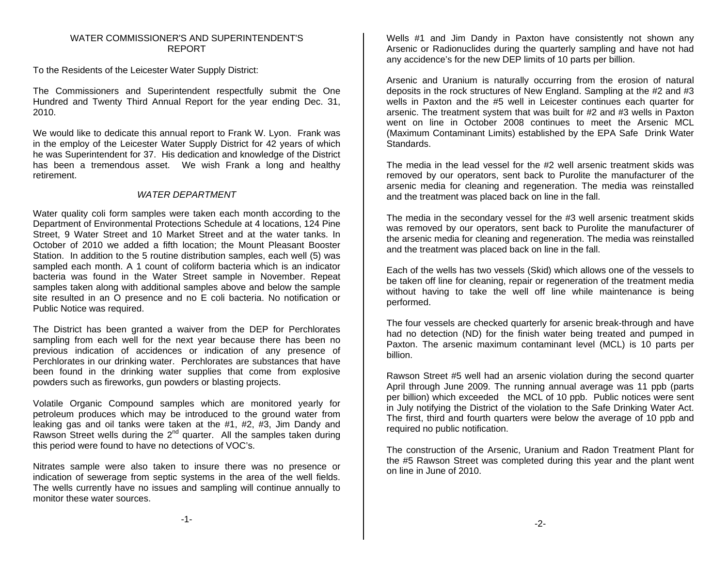#### WATER COMMISSIONER'S AND SUPERINTENDENT'SREPORT

To the Residents of the Leicester Water Supply District:

The Commissioners and Superintendent respectfully submit the One Hundred and Twenty Third Annual Report for the year ending Dec. 31, 2010.

We would like to dedicate this annual report to Frank W. Lyon. Frank was in the employ of the Leicester Water Supply District for 42 years of which he was Superintendent for 37. His dedication and knowledge of the District has been a tremendous asset. We wish Frank a long and healthy retirement.

# *WATER DEPARTMENT*

Water quality coli form samples were taken each month according to the Department of Environmental Protections Schedule at 4 locations, 124 Pine Street, 9 Water Street and 10 Market Street and at the water tanks. In October of 2010 we added a fifth location; the Mount Pleasant Booster Station. In addition to the 5 routine distribution samples, each well (5) was sampled each month. A 1 count of coliform bacteria which is an indicator bacteria was found in the Water Street sample in November. Repeat samples taken along with additional samples above and below the sample site resulted in an O presence and no E coli bacteria. No notification or Public Notice was required.

The District has been granted a waiver from the DEP for Perchlorates sampling from each well for the next year because there has been no previous indication of accidences or indication of any presence of Perchlorates in our drinking water. Perchlorates are substances that have been found in the drinking water supplies that come from explosive powders such as fireworks, gun powders or blasting projects.

Volatile Organic Compound samples which are monitored yearly for petroleum produces which may be introduced to the ground water from leaking gas and oil tanks were taken at the #1, #2, #3, Jim Dandy and Rawson Street wells during the 2<sup>nd</sup> quarter. All the samples taken during this period were found to have no detections of VOC's.

Nitrates sample were also taken to insure there was no presence or indication of sewerage from septic systems in the area of the well fields. The wells currently have no issues and sampling will continue annually to monitor these water sources.

Wells #1 and Jim Dandy in Paxton have consistently not shown any Arsenic or Radionuclides during the quarterly sampling and have not had any accidence's for the new DEP limits of 10 parts per billion.

Arsenic and Uranium is naturally occurring from the erosion of natural deposits in the rock structures of New England. Sampling at the #2 and #3 wells in Paxton and the #5 well in Leicester continues each quarter for arsenic. The treatment system that was built for #2 and #3 wells in Paxton went on line in October 2008 continues to meet the Arsenic MCL (Maximum Contaminant Limits) established by the EPA Safe Drink Water Standards.

The media in the lead vessel for the #2 well arsenic treatment skids was removed by our operators, sent back to Purolite the manufacturer of the arsenic media for cleaning and regeneration. The media was reinstalled and the treatment was placed back on line in the fall.

The media in the secondary vessel for the #3 well arsenic treatment skids was removed by our operators, sent back to Purolite the manufacturer of the arsenic media for cleaning and regeneration. The media was reinstalled and the treatment was placed back on line in the fall.

Each of the wells has two vessels (Skid) which allows one of the vessels to be taken off line for cleaning, repair or regeneration of the treatment media without having to take the well off line while maintenance is being performed.

The four vessels are checked quarterly for arsenic break-through and have had no detection (ND) for the finish water being treated and pumped in Paxton. The arsenic maximum contaminant level (MCL) is 10 parts per billion.

Rawson Street #5 well had an arsenic violation during the second quarter April through June 2009. The running annual average was 11 ppb (parts per billion) which exceeded the MCL of 10 ppb. Public notices were sent in July notifying the District of the violation to the Safe Drinking Water Act. The first, third and fourth quarters were below the average of 10 ppb and required no public notification.

The construction of the Arsenic, Uranium and Radon Treatment Plant for the #5 Rawson Street was completed during this year and the plant went on line in June of 2010.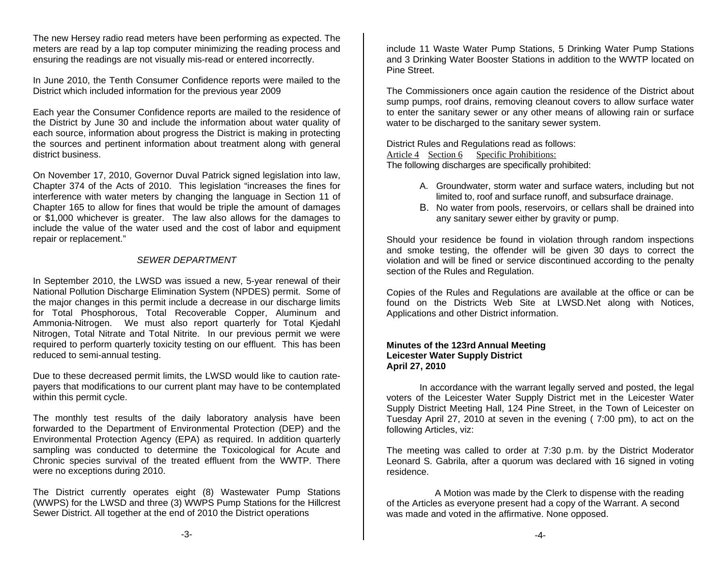The new Hersey radio read meters have been performing as expected. The meters are read by a lap top computer minimizing the reading process and ensuring the readings are not visually mis-read or entered incorrectly.

In June 2010, the Tenth Consumer Confidence reports were mailed to the District which included information for the previous year 2009

Each year the Consumer Confidence reports are mailed to the residence of the District by June 30 and include the information about water quality of each source, information about progress the District is making in protecting the sources and pertinent information about treatment along with general district business.

On November 17, 2010, Governor Duval Patrick signed legislation into law, Chapter 374 of the Acts of 2010. This legislation "increases the fines for interference with water meters by changing the language in Section 11 of Chapter 165 to allow for fines that would be triple the amount of damages or \$1,000 whichever is greater. The law also allows for the damages to include the value of the water used and the cost of labor and equipment repair or replacement."

# *SEWER DEPARTMENT*

In September 2010, the LWSD was issued a new, 5-year renewal of their National Pollution Discharge Elimination System (NPDES) permit. Some of the major changes in this permit include a decrease in our discharge limits for Total Phosphorous, Total Recoverable Copper, Aluminum and Ammonia-Nitrogen. We must also report quarterly for Total Kjedahl Nitrogen, Total Nitrate and Total Nitrite. In our previous permit we were required to perform quarterly toxicity testing on our effluent. This has been reduced to semi-annual testing.

Due to these decreased permit limits, the LWSD would like to caution ratepayers that modifications to our current plant may have to be contemplated within this permit cycle.

The monthly test results of the daily laboratory analysis have been forwarded to the Department of Environmental Protection (DEP) and the Environmental Protection Agency (EPA) as required. In addition quarterly sampling was conducted to determine the Toxicological for Acute and Chronic species survival of the treated effluent from the WWTP. There were no exceptions during 2010.

The District currently operates eight (8) Wastewater Pump Stations (WWPS) for the LWSD and three (3) WWPS Pump Stations for the Hillcrest Sewer District. All together at the end of 2010 the District operations

include 11 Waste Water Pump Stations, 5 Drinking Water Pump Stations and 3 Drinking Water Booster Stations in addition to the WWTP located on Pine Street.

The Commissioners once again caution the residence of the District about sump pumps, roof drains, removing cleanout covers to allow surface water to enter the sanitary sewer or any other means of allowing rain or surface water to be discharged to the sanitary sewer system.

District Rules and Regulations read as follows: Article 4 Section 6 Specific Prohibitions: The following discharges are specifically prohibited:

- A. Groundwater, storm water and surface waters, including but not limited to, roof and surface runoff, and subsurface drainage.
- B. No water from pools, reservoirs, or cellars shall be drained into any sanitary sewer either by gravity or pump.

Should your residence be found in violation through random inspections and smoke testing, the offender will be given 30 days to correct the violation and will be fined or service discontinued according to the penalty section of the Rules and Regulation.

Copies of the Rules and Regulations are available at the office or can be found on the Districts Web Site at LWSD.Net along with Notices, Applications and other District information.

## **Minutes of the 123rd Annual Meeting Leicester Water Supply District April 27, 2010**

 In accordance with the warrant legally served and posted, the legal voters of the Leicester Water Supply District met in the Leicester Water Supply District Meeting Hall, 124 Pine Street, in the Town of Leicester on Tuesday April 27, 2010 at seven in the evening ( 7:00 pm), to act on the following Articles, viz:

The meeting was called to order at 7:30 p.m. by the District Moderator Leonard S. Gabrila, after a quorum was declared with 16 signed in voting residence.

 A Motion was made by the Clerk to dispense with the reading of the Articles as everyone present had a copy of the Warrant. A second was made and voted in the affirmative. None opposed.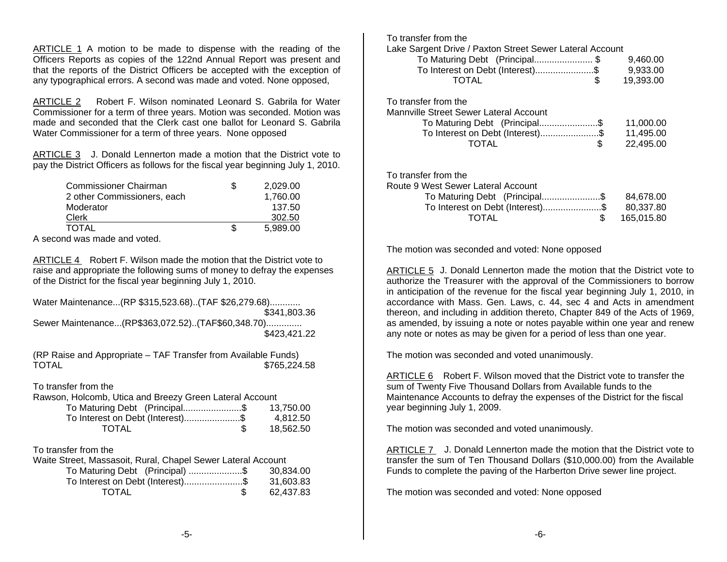ARTICLE 1 A motion to be made to dispense with the reading of the Officers Reports as copies of the 122nd Annual Report was present and that the reports of the District Officers be accepted with the exception of any typographical errors. A second was made and voted. None opposed,

ARTICLE 2 Robert F. Wilson nominated Leonard S. Gabrila for Water Commissioner for a term of three years. Motion was seconded. Motion was made and seconded that the Clerk cast one ballot for Leonard S. Gabrila Water Commissioner for a term of three years. None opposed

ARTICLE 3 J. Donald Lennerton made a motion that the District vote to pay the District Officers as follows for the fiscal year beginning July 1, 2010.

| Commissioner Chairman       | 2.029.00 |
|-----------------------------|----------|
| 2 other Commissioners, each | 1,760.00 |
| Moderator                   | 137.50   |
| Clerk                       | 302.50   |
| TOTAL                       | 5,989.00 |
|                             |          |

A second was made and voted.

ARTICLE 4 Robert F. Wilson made the motion that the District vote to raise and appropriate the following sums of money to defray the expenses of the District for the fiscal year beginning July 1, 2010.

Water Maintenance...(RP \$315,523.68)..(TAF \$26,279.68)............ \$341,803.36 Sewer Maintenance...(RP\$363,072.52)..(TAF\$60,348.70).............. \$423,421.22

(RP Raise and Appropriate – TAF Transfer from Available Funds)<br>\$765.224 \$765,224.58

To transfer from the

Rawson, Holcomb, Utica and Breezy Green Lateral Account

| To Maturing Debt (Principal\$    | 13.750.00 |
|----------------------------------|-----------|
| To Interest on Debt (Interest)\$ | 4.812.50  |
| <b>TOTAL</b>                     | 18.562.50 |

#### To transfer from the

| Waite Street, Massasoit, Rural, Chapel Sewer Lateral Account |  |           |
|--------------------------------------------------------------|--|-----------|
| To Maturing Debt (Principal) \$                              |  | 30.834.00 |
| To Interest on Debt (Interest)\$                             |  | 31.603.83 |
| TOTAL                                                        |  | 62.437.83 |

| To transfer from the<br>Lake Sargent Drive / Paxton Street Sewer Lateral Account<br>To Maturing Debt (Principal\$<br>To Interest on Debt (Interest)\$<br>TOTAL<br>\$ | 9,460.00<br>9,933.00<br>19,393.00    |
|----------------------------------------------------------------------------------------------------------------------------------------------------------------------|--------------------------------------|
| To transfer from the<br>Mannville Street Sewer Lateral Account<br>To Maturing Debt (Principal\$<br>To Interest on Debt (Interest)\$<br>\$<br>TOTAL                   | 11,000.00<br>11,495.00<br>22,495.00  |
| To transfer from the<br>Route 9 West Sewer Lateral Account<br>To Maturing Debt (Principal\$<br>To Interest on Debt (Interest)\$<br>\$<br>TOTAL                       | 84,678.00<br>80,337.80<br>165,015.80 |

The motion was seconded and voted: None opposed

ARTICLE 5 J. Donald Lennerton made the motion that the District vote to authorize the Treasurer with the approval of the Commissioners to borrow in anticipation of the revenue for the fiscal year beginning July 1, 2010, in accordance with Mass. Gen. Laws, c. 44, sec 4 and Acts in amendment thereon, and including in addition thereto, Chapter 849 of the Acts of 1969, as amended, by issuing a note or notes payable within one year and renew any note or notes as may be given for a period of less than one year.

The motion was seconded and voted unanimously.

ARTICLE 6 Robert F. Wilson moved that the District vote to transfer the sum of Twenty Five Thousand Dollars from Available funds to the Maintenance Accounts to defray the expenses of the District for the fiscal year beginning July 1, 2009.

The motion was seconded and voted unanimously.

ARTICLE 7 J. Donald Lennerton made the motion that the District vote to transfer the sum of Ten Thousand Dollars (\$10,000.00) from the Available Funds to complete the paving of the Harberton Drive sewer line project.

The motion was seconded and voted: None opposed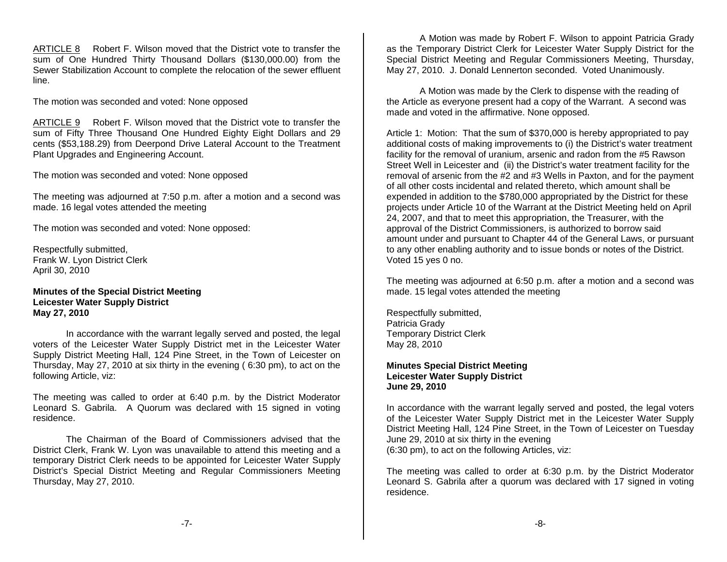ARTICLE 8 Robert F. Wilson moved that the District vote to transfer the sum of One Hundred Thirty Thousand Dollars (\$130,000.00) from the Sewer Stabilization Account to complete the relocation of the sewer effluent line.

The motion was seconded and voted: None opposed

ARTICLE 9 Robert F. Wilson moved that the District vote to transfer the sum of Fifty Three Thousand One Hundred Eighty Eight Dollars and 29 cents (\$53,188.29) from Deerpond Drive Lateral Account to the Treatment Plant Upgrades and Engineering Account.

The motion was seconded and voted: None opposed

The meeting was adjourned at 7:50 p.m. after a motion and a second was made. 16 legal votes attended the meeting

The motion was seconded and voted: None opposed:

Respectfully submitted, Frank W. Lyon District Clerk April 30, 2010

#### **Minutes of the Special District Meeting Leicester Water Supply District May 27, 2010**

 In accordance with the warrant legally served and posted, the legal voters of the Leicester Water Supply District met in the Leicester Water Supply District Meeting Hall, 124 Pine Street, in the Town of Leicester on Thursday, May 27, 2010 at six thirty in the evening ( 6:30 pm), to act on the following Article, viz:

The meeting was called to order at 6:40 p.m. by the District Moderator Leonard S. Gabrila. A Quorum was declared with 15 signed in voting residence.

 The Chairman of the Board of Commissioners advised that the District Clerk, Frank W. Lyon was unavailable to attend this meeting and a temporary District Clerk needs to be appointed for Leicester Water Supply District's Special District Meeting and Regular Commissioners Meeting Thursday, May 27, 2010.

 A Motion was made by Robert F. Wilson to appoint Patricia Grady as the Temporary District Clerk for Leicester Water Supply District for the Special District Meeting and Regular Commissioners Meeting, Thursday, May 27, 2010. J. Donald Lennerton seconded. Voted Unanimously.

 A Motion was made by the Clerk to dispense with the reading of the Article as everyone present had a copy of the Warrant. A second was made and voted in the affirmative. None opposed.

Article 1: Motion: That the sum of \$370,000 is hereby appropriated to pay additional costs of making improvements to (i) the District's water treatment facility for the removal of uranium, arsenic and radon from the #5 Rawson Street Well in Leicester and (ii) the District's water treatment facility for the removal of arsenic from the #2 and #3 Wells in Paxton, and for the payment of all other costs incidental and related thereto, which amount shall be expended in addition to the \$780,000 appropriated by the District for these projects under Article 10 of the Warrant at the District Meeting held on April 24, 2007, and that to meet this appropriation, the Treasurer, with the approval of the District Commissioners, is authorized to borrow said amount under and pursuant to Chapter 44 of the General Laws, or pursuant to any other enabling authority and to issue bonds or notes of the District. Voted 15 yes 0 no.

The meeting was adjourned at 6:50 p.m. after a motion and a second was made. 15 legal votes attended the meeting

Respectfully submitted, Patricia Grady Temporary District Clerk May 28, 2010

## **Minutes Special District Meeting Leicester Water Supply District June 29, 2010**

In accordance with the warrant legally served and posted, the legal voters of the Leicester Water Supply District met in the Leicester Water Supply District Meeting Hall, 124 Pine Street, in the Town of Leicester on Tuesday June 29, 2010 at six thirty in the evening (6:30 pm), to act on the following Articles, viz:

The meeting was called to order at 6:30 p.m. by the District Moderator Leonard S. Gabrila after a quorum was declared with 17 signed in voting residence.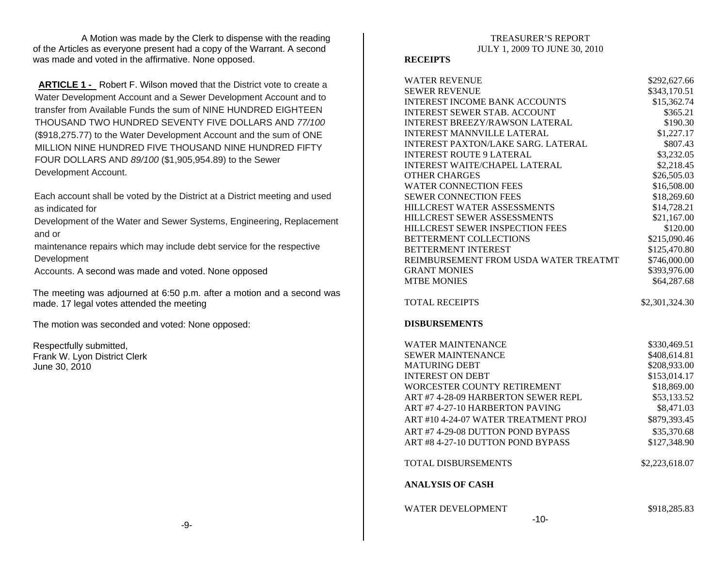A Motion was made by the Clerk to dispense with the reading of the Articles as everyone present had a copy of the Warrant. A second was made and voted in the affirmative. None opposed.

**ARTICLE 1 -** Robert F. Wilson moved that the District vote to create a Water Development Account and a Sewer Development Account and to transfer from Available Funds the sum of NINE HUNDRED EIGHTEEN THOUSAND TWO HUNDRED SEVENTY FIVE DOLLARS AND *77/100* (\$918,275.77) to the Water Development Account and the sum of ONE MILLION NINE HUNDRED FIVE THOUSAND NINE HUNDRED FIFTY FOUR DOLLARS AND *89/100* (\$1,905,954.89) to the Sewer Development Account.

Each account shall be voted by the District at a District meeting and used as indicated for

Development of the Water and Sewer Systems, Engineering, Replacement and or

maintenance repairs which may include debt service for the respective Development

Accounts. A second was made and voted. None opposed

The meeting was adjourned at 6:50 p.m. after a motion and a second was made. 17 legal votes attended the meeting

The motion was seconded and voted: None opposed:

Respectfully submitted, Frank W. Lyon District Clerk June 30, 2010

#### **RECEIPTS**

| <b>WATER REVENUE</b>                           | \$292,627.66   |
|------------------------------------------------|----------------|
| <b>SEWER REVENUE</b>                           | \$343,170.51   |
| <b>INTEREST INCOME BANK ACCOUNTS</b>           | \$15,362.74    |
| <b>INTEREST SEWER STAB. ACCOUNT</b>            | \$365.21       |
| <b>INTEREST BREEZY/RAWSON LATERAL</b>          | \$190.30       |
| <b>INTEREST MANNVILLE LATERAL</b>              | \$1,227.17     |
| <b>INTEREST PAXTON/LAKE SARG. LATERAL</b>      | \$807.43       |
| <b>INTEREST ROUTE 9 LATERAL</b>                | \$3,232.05     |
| <b>INTEREST WAITE/CHAPEL LATERAL</b>           | \$2,218.45     |
| <b>OTHER CHARGES</b>                           | \$26,505.03    |
| <b>WATER CONNECTION FEES</b>                   | \$16,508.00    |
| <b>SEWER CONNECTION FEES</b>                   | \$18,269.60    |
| HILLCREST WATER ASSESSMENTS                    | \$14,728.21    |
| HILLCREST SEWER ASSESSMENTS                    | \$21,167.00    |
| HILLCREST SEWER INSPECTION FEES                | \$120.00       |
| BETTERMENT COLLECTIONS                         | \$215,090.46   |
| BETTERMENT INTEREST                            | \$125,470.80   |
| REIMBURSEMENT FROM USDA WATER TREATMT          | \$746,000.00   |
| <b>GRANT MONIES</b>                            | \$393,976.00   |
| <b>MTBE MONIES</b>                             | \$64,287.68    |
| <b>TOTAL RECEIPTS</b>                          | \$2,301,324.30 |
| <b>DISBURSEMENTS</b>                           |                |
| <b>WATER MAINTENANCE</b>                       | \$330,469.51   |
| <b>SEWER MAINTENANCE</b>                       | \$408,614.81   |
| <b>MATURING DEBT</b>                           | \$208,933.00   |
| <b>INTEREST ON DEBT</b>                        | \$153,014.17   |
| WORCESTER COUNTY RETIREMENT                    | \$18,869.00    |
| ART #7 4-28-09 HARBERTON SEWER REPL            | \$53,133.52    |
| ART #7 4-27-10 HARBERTON PAVING                | \$8,471.03     |
| ART #10 4-24-07 WATER TREATMENT PROJ           | \$879,393.45   |
| ART #7 4-29-08 DUTTON POND BYPASS              | \$35,370.68    |
| ART #8 4-27-10 DUTTON POND BYPASS              | \$127,348.90   |
| TOTAL DISBURSEMENTS<br><b>ANALYSIS OF CASH</b> | \$2,223,618.07 |
| <b>WATER DEVELOPMENT</b><br>10                 | \$918,285.83   |